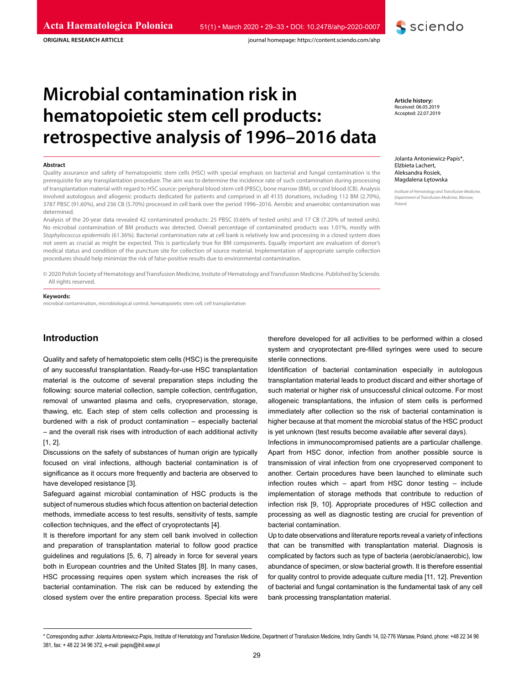**ORIGINAL RESEARCH ARTICLE**

# **Microbial contamination risk in hematopoietic stem cell products: retrospective analysis of 1996–2016 data**

#### **Abstract**

Quality assurance and safety of hematopoietic stem cells (HSC) with special emphasis on bacterial and fungal contamination is the prerequisite for any transplantation procedure. The aim was to determine the incidence rate of such contamination during processing of transplantation material with regard to HSC source: peripheral blood stem cell (PBSC), bone marrow (BM), or cord blood (CB). Analysis involved autologous and allogenic products dedicated for patients and comprised in all 4135 donations, including 112 BM (2.70%), 3787 PBSC (91.60%), and 236 CB (5.70%) processed in cell bank over the period 1996–2016. Aerobic and anaerobic contamination was determined.

Analysis of the 20-year data revealed 42 contaminated products: 25 PBSC (0.66% of tested units) and 17 CB (7.20% of tested units). No microbial contamination of BM products was detected. Overall percentage of contaminated products was 1.01%, mostly with *Staphylococcus epidermidis* (61.36%). Bacterial contamination rate at cell bank is relatively low and processing in a closed system does not seem as crucial as might be expected. This is particularly true for BM components. Equally important are evaluation of donor's medical status and condition of the puncture site for collection of source material. Implementation of appropriate sample collection procedures should help minimize the risk of false-positive results due to environmental contamination.

© 2020 Polish Society of Hematology and Transfusion Medicine, Insitute of Hematology and Transfusion Medicine. Published by Sciendo. All rights reserved.

#### **Keywords:**

microbial contamination, microbiological control, hematopoietic stem cell, cell transplantation

# **Introduction**

Quality and safety of hematopoietic stem cells (HSC) is the prerequisite of any successful transplantation. Ready-for-use HSC transplantation material is the outcome of several preparation steps including the following: source material collection, sample collection, centrifugation, removal of unwanted plasma and cells, cryopreservation, storage, thawing, etc. Each step of stem cells collection and processing is burdened with a risk of product contamination – especially bacterial – and the overall risk rises with introduction of each additional activity [1, 2].

Discussions on the safety of substances of human origin are typically focused on viral infections, although bacterial contamination is of significance as it occurs more frequently and bacteria are observed to have developed resistance [3].

Safeguard against microbial contamination of HSC products is the subject of numerous studies which focus attention on bacterial detection methods, immediate access to test results, sensitivity of tests, sample collection techniques, and the effect of cryoprotectants [4].

It is therefore important for any stem cell bank involved in collection and preparation of transplantation material to follow good practice guidelines and regulations [5, 6, 7] already in force for several years both in European countries and the United States [8]. In many cases, HSC processing requires open system which increases the risk of bacterial contamination. The risk can be reduced by extending the closed system over the entire preparation process. Special kits were

therefore developed for all activities to be performed within a closed system and cryoprotectant pre-filled syringes were used to secure sterile connections.

Identification of bacterial contamination especially in autologous transplantation material leads to product discard and either shortage of such material or higher risk of unsuccessful clinical outcome. For most allogeneic transplantations, the infusion of stem cells is performed immediately after collection so the risk of bacterial contamination is higher because at that moment the microbial status of the HSC product is yet unknown (test results become available after several days).

Infections in immunocompromised patients are a particular challenge. Apart from HSC donor, infection from another possible source is transmission of viral infection from one cryopreserved component to another. Certain procedures have been launched to eliminate such infection routes which – apart from HSC donor testing – include implementation of storage methods that contribute to reduction of infection risk [9, 10]. Appropriate procedures of HSC collection and processing as well as diagnostic testing are crucial for prevention of bacterial contamination.

Up to date observations and literature reports reveal a variety of infections that can be transmitted with transplantation material. Diagnosis is complicated by factors such as type of bacteria (aerobic/anaerobic), low abundance of specimen, or slow bacterial growth. It is therefore essential for quality control to provide adequate culture media [11, 12]. Prevention of bacterial and fungal contamination is the fundamental task of any cell bank processing transplantation material.

Jolanta Antoniewicz-Papis\*, Elżbieta Lachert, Aleksandra Rosiek, Magdalena Łętowska

**S** sciendo

*Institute of Hematology and Transfusion Medicine, Department of Transfusion Medicine, Warsaw, Poland*

\* Corresponding author: Jolanta Antoniewicz-Papis, Institute of Hematology and Transfusion Medicine, Department of Transfusion Medicine, Indiry Gandhi 14, 02-776 Warsaw, Poland, phone: +48 22 34 96 381, fax: + 48 22 34 96 372, e-mail: jpapis@ihit.waw.pl

**Article history:** Received: 06.05.2019 Accepted: 22.07.2019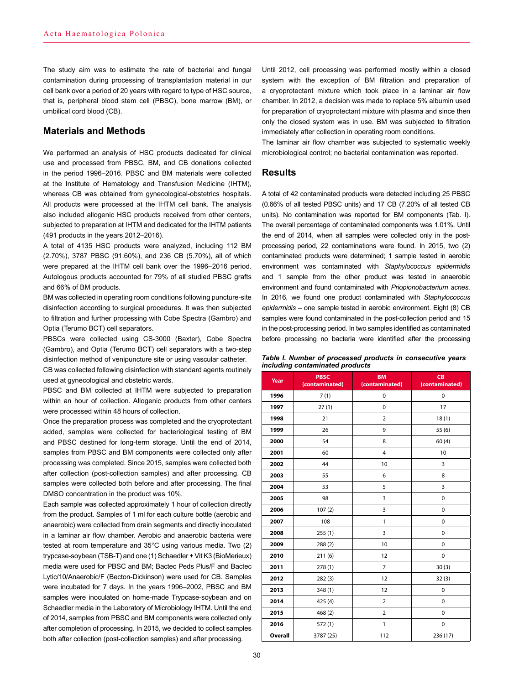The study aim was to estimate the rate of bacterial and fungal contamination during processing of transplantation material in our cell bank over a period of 20 years with regard to type of HSC source, that is, peripheral blood stem cell (PBSC), bone marrow (BM), or umbilical cord blood (CB).

# **Materials and Methods**

We performed an analysis of HSC products dedicated for clinical use and processed from PBSC, BM, and CB donations collected in the period 1996–2016. PBSC and BM materials were collected at the Institute of Hematology and Transfusion Medicine (IHTM), whereas CB was obtained from gynecological-obstetrics hospitals. All products were processed at the IHTM cell bank. The analysis also included allogenic HSC products received from other centers, subjected to preparation at IHTM and dedicated for the IHTM patients (491 products in the years 2012–2016).

A total of 4135 HSC products were analyzed, including 112 BM (2.70%), 3787 PBSC (91.60%), and 236 CB (5.70%), all of which were prepared at the IHTM cell bank over the 1996–2016 period. Autologous products accounted for 79% of all studied PBSC grafts and 66% of BM products.

BM was collected in operating room conditions following puncture-site disinfection according to surgical procedures. It was then subjected to filtration and further processing with Cobe Spectra (Gambro) and Optia (Terumo BCT) cell separators.

PBSCs were collected using CS-3000 (Baxter), Cobe Spectra (Gambro), and Optia (Terumo BCT) cell separators with a two-step disinfection method of venipuncture site or using vascular catheter.

CB was collected following disinfection with standard agents routinely used at gynecological and obstetric wards.

PBSC and BM collected at IHTM were subjected to preparation within an hour of collection. Allogenic products from other centers were processed within 48 hours of collection.

Once the preparation process was completed and the cryoprotectant added, samples were collected for bacteriological testing of BM and PBSC destined for long-term storage. Until the end of 2014, samples from PBSC and BM components were collected only after processing was completed. Since 2015, samples were collected both after collection (post-collection samples) and after processing. CB samples were collected both before and after processing. The final DMSO concentration in the product was 10%.

Each sample was collected approximately 1 hour of collection directly from the product. Samples of 1 ml for each culture bottle (aerobic and anaerobic) were collected from drain segments and directly inoculated in a laminar air flow chamber. Aerobic and anaerobic bacteria were tested at room temperature and 35°C using various media. Two (2) trypcase-soybean (TSB-T) and one (1) Schaedler + Vit K3 (BioMerieux) media were used for PBSC and BM; Bactec Peds Plus/F and Bactec Lytic/10/Anaerobic/F (Becton-Dickinson) were used for CB. Samples were incubated for 7 days. In the years 1996–2002, PBSC and BM samples were inoculated on home-made Trypcase-soybean and on Schaedler media in the Laboratory of Microbiology IHTM. Until the end of 2014, samples from PBSC and BM components were collected only after completion of processing. In 2015, we decided to collect samples both after collection (post-collection samples) and after processing.

Until 2012, cell processing was performed mostly within a closed system with the exception of BM filtration and preparation of a cryoprotectant mixture which took place in a laminar air flow chamber. In 2012, a decision was made to replace 5% albumin used for preparation of cryoprotectant mixture with plasma and since then only the closed system was in use. BM was subjected to filtration immediately after collection in operating room conditions.

The laminar air flow chamber was subjected to systematic weekly microbiological control; no bacterial contamination was reported.

# **Results**

A total of 42 contaminated products were detected including 25 PBSC (0.66% of all tested PBSC units) and 17 CB (7.20% of all tested CB units). No contamination was reported for BM components (Tab. I). The overall percentage of contaminated components was 1.01%. Until the end of 2014, when all samples were collected only in the postprocessing period, 22 contaminations were found. In 2015, two (2) contaminated products were determined; 1 sample tested in aerobic environment was contaminated with *Staphylococcus epidermidis*  and 1 sample from the other product was tested in anaerobic environment and found contaminated with *Priopionobacterium acnes.*  In 2016, we found one product contaminated with *Staphylococcus epidermidis* – one sample tested in aerobic environment. Eight (8) CB samples were found contaminated in the post-collection period and 15 in the post-processing period. In two samples identified as contaminated before processing no bacteria were identified after the processing

| Table I. Number of processed products in consecutive years |  |  |
|------------------------------------------------------------|--|--|
| including contaminated products                            |  |  |

| Year           | <b>PBSC</b><br>(contaminated) | <b>BM</b><br>(contaminated) | CB<br>(contaminated) |
|----------------|-------------------------------|-----------------------------|----------------------|
| 1996           | 7(1)                          | $\pmb{0}$                   | $\pmb{0}$            |
| 1997           | 27(1)                         | $\mathbf 0$                 | 17                   |
| 1998           | 21                            | $\overline{2}$              | 18(1)                |
| 1999           | 26                            | 9                           | 55(6)                |
| 2000           | 54                            | 8                           | 60(4)                |
| 2001           | 60                            | $\overline{4}$              | 10                   |
| 2002           | 44                            | 10                          | 3                    |
| 2003           | 55                            | 6                           | 8                    |
| 2004           | 53                            | 5                           | 3                    |
| 2005           | 98                            | 3                           | $\pmb{0}$            |
| 2006           | 107(2)                        | 3                           | $\mathbf 0$          |
| 2007           | 108                           | 1                           | 0                    |
| 2008           | 255(1)                        | 3                           | $\mathbf 0$          |
| 2009           | 288(2)                        | 10                          | $\mathbf 0$          |
| 2010           | 211(6)                        | 12                          | 0                    |
| 2011           | 278(1)                        | $\overline{7}$              | 30(3)                |
| 2012           | 282(3)                        | 12                          | 32(3)                |
| 2013           | 348(1)                        | 12                          | $\mathbf 0$          |
| 2014           | 425 (4)                       | 2                           | $\mathbf 0$          |
| 2015           | 468(2)                        | $\overline{2}$              | $\mathbf 0$          |
| 2016           | 572(1)                        | 1                           | $\pmb{0}$            |
| <b>Overall</b> | 3787 (25)                     | 112                         | 236 (17)             |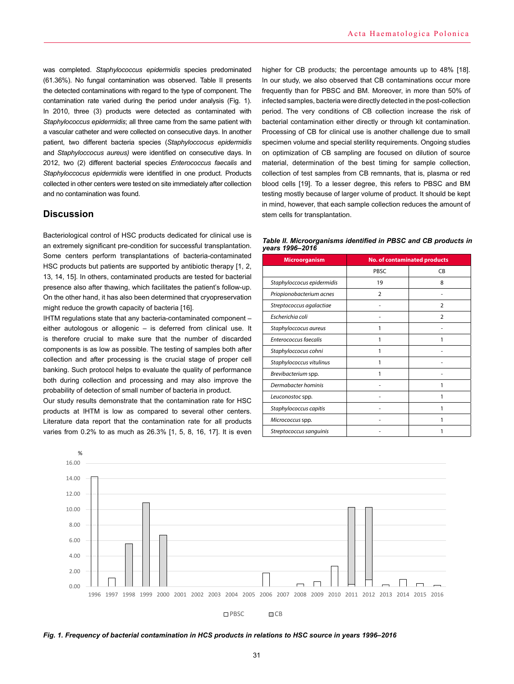was completed. *Staphylococcus epidermidis* species predominated (61.36%). No fungal contamination was observed. Table II presents the detected contaminations with regard to the type of component. The contamination rate varied during the period under analysis (Fig. 1). In 2010, three (3) products were detected as contaminated with *Staphylococcus epidermidis*; all three came from the same patient with a vascular catheter and were collected on consecutive days. In another patient, two different bacteria species (*Staphyloccocus epidermidis* and *Staphyloccocus aureus)* were identified on consecutive days. In 2012, two (2) different bacterial species *Enterococcus faecalis* and *Staphyloccocus epidermidis* were identified in one product. Products collected in other centers were tested on site immediately after collection and no contamination was found.

# **Discussion**

Bacteriological control of HSC products dedicated for clinical use is an extremely significant pre-condition for successful transplantation. Some centers perform transplantations of bacteria-contaminated HSC products but patients are supported by antibiotic therapy [1, 2, 13, 14, 15]. In others, contaminated products are tested for bacterial presence also after thawing, which facilitates the patient's follow-up. On the other hand, it has also been determined that cryopreservation might reduce the growth capacity of bacteria [16].

IHTM regulations state that any bacteria-contaminated component – either autologous or allogenic – is deferred from clinical use. It is therefore crucial to make sure that the number of discarded components is as low as possible. The testing of samples both after collection and after processing is the crucial stage of proper cell banking. Such protocol helps to evaluate the quality of performance both during collection and processing and may also improve the probability of detection of small number of bacteria in product.

Our study results demonstrate that the contamination rate for HSC products at IHTM is low as compared to several other centers. Literature data report that the contamination rate for all products varies from 0.2% to as much as 26.3% [1, 5, 8, 16, 17]. It is even higher for CB products; the percentage amounts up to 48% [18]. In our study, we also observed that CB contaminations occur more frequently than for PBSC and BM. Moreover, in more than 50% of infected samples, bacteria were directly detected in the post-collection period. The very conditions of CB collection increase the risk of bacterial contamination either directly or through kit contamination. Processing of CB for clinical use is another challenge due to small specimen volume and special sterility requirements. Ongoing studies on optimization of CB sampling are focused on dilution of source material, determination of the best timing for sample collection, collection of test samples from CB remnants, that is, plasma or red blood cells [19]. To a lesser degree, this refers to PBSC and BM testing mostly because of larger volume of product. It should be kept in mind, however, that each sample collection reduces the amount of stem cells for transplantation.

| Table II. Microorganisms identified in PBSC and CB products in |  |  |
|----------------------------------------------------------------|--|--|
| years 1996–2016                                                |  |  |

| <b>Microorganism</b>       | <b>No. of contaminated products</b> |                |
|----------------------------|-------------------------------------|----------------|
|                            | PBSC                                | CB             |
| Staphyloccocus epidermidis | 19                                  | 8              |
| Priopionobacterium acnes   | $\overline{2}$                      |                |
| Streptococcus agalactiae   |                                     | $\mathcal{P}$  |
| Escherichia coli           |                                     | $\overline{2}$ |
| Staphyloccocus aureus      |                                     |                |
| Enterococcus faecalis      |                                     | 1              |
| Staphyloccocus cohni       |                                     |                |
| Staphylococcus vitulinus   |                                     |                |
| Brevibacterium spp.        |                                     |                |
| Dermabacter hominis        |                                     | 1              |
| Leuconostoc spp.           |                                     | 1              |
| Staphylococcus capitis     |                                     |                |
| Micrococcus spp.           |                                     | 1              |
| Streptococcus sanguinis    |                                     |                |



Fig. 1. Frequency of bacterial contamination in HCS products in relations to HSC source in years 1996-2016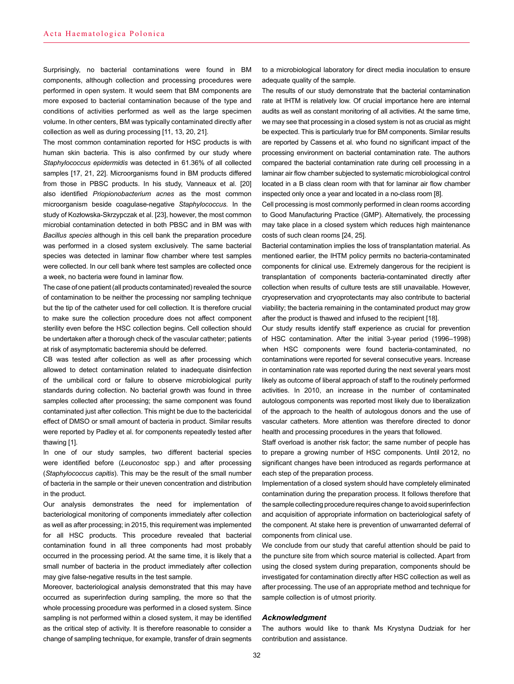Surprisingly, no bacterial contaminations were found in BM components, although collection and processing procedures were performed in open system. It would seem that BM components are more exposed to bacterial contamination because of the type and conditions of activities performed as well as the large specimen volume. In other centers, BM was typically contaminated directly after collection as well as during processing [11, 13, 20, 21].

The most common contamination reported for HSC products is with human skin bacteria. This is also confirmed by our study where *Staphylococcus epidermidis* was detected in 61.36% of all collected samples [17, 21, 22]. Microorganisms found in BM products differed from those in PBSC products. In his study, Vanneaux et al. [20] also identified *Priopionobacterium acnes* as the most common microorganism beside coagulase-negative *Staphylococcus*. In the study of Kozłowska-Skrzypczak et al. [23], however, the most common microbial contamination detected in both PBSC and in BM was with *Bacillus species* although in this cell bank the preparation procedure was performed in a closed system exclusively. The same bacterial species was detected in laminar flow chamber where test samples were collected. In our cell bank where test samples are collected once a week, no bacteria were found in laminar flow.

The case of one patient (all products contaminated) revealed the source of contamination to be neither the processing nor sampling technique but the tip of the catheter used for cell collection. It is therefore crucial to make sure the collection procedure does not affect component sterility even before the HSC collection begins. Cell collection should be undertaken after a thorough check of the vascular catheter; patients at risk of asymptomatic bacteremia should be deferred.

CB was tested after collection as well as after processing which allowed to detect contamination related to inadequate disinfection of the umbilical cord or failure to observe microbiological purity standards during collection. No bacterial growth was found in three samples collected after processing; the same component was found contaminated just after collection. This might be due to the bactericidal effect of DMSO or small amount of bacteria in product. Similar results were reported by Padley et al. for components repeatedly tested after thawing [1].

In one of our study samples, two different bacterial species were identified before (*Leuconostoc* spp.) and after processing (*Staphylococcus capitis*). This may be the result of the small number of bacteria in the sample or their uneven concentration and distribution in the product.

Our analysis demonstrates the need for implementation of bacteriological monitoring of components immediately after collection as well as after processing; in 2015, this requirement was implemented for all HSC products. This procedure revealed that bacterial contamination found in all three components had most probably occurred in the processing period. At the same time, it is likely that a small number of bacteria in the product immediately after collection may give false-negative results in the test sample.

Moreover, bacteriological analysis demonstrated that this may have occurred as superinfection during sampling, the more so that the whole processing procedure was performed in a closed system. Since sampling is not performed within a closed system, it may be identified as the critical step of activity. It is therefore reasonable to consider a change of sampling technique, for example, transfer of drain segments

to a microbiological laboratory for direct media inoculation to ensure adequate quality of the sample.

The results of our study demonstrate that the bacterial contamination rate at IHTM is relatively low. Of crucial importance here are internal audits as well as constant monitoring of all activities. At the same time, we may see that processing in a closed system is not as crucial as might be expected. This is particularly true for BM components. Similar results are reported by Cassens et al. who found no significant impact of the processing environment on bacterial contamination rate. The authors compared the bacterial contamination rate during cell processing in a laminar air flow chamber subjected to systematic microbiological control located in a B class clean room with that for laminar air flow chamber inspected only once a year and located in a no-class room [8].

Cell processing is most commonly performed in clean rooms according to Good Manufacturing Practice (GMP). Alternatively, the processing may take place in a closed system which reduces high maintenance costs of such clean rooms [24, 25].

Bacterial contamination implies the loss of transplantation material. As mentioned earlier, the IHTM policy permits no bacteria-contaminated components for clinical use. Extremely dangerous for the recipient is transplantation of components bacteria-contaminated directly after collection when results of culture tests are still unavailable. However, cryopreservation and cryoprotectants may also contribute to bacterial viability; the bacteria remaining in the contaminated product may grow after the product is thawed and infused to the recipient [18].

Our study results identify staff experience as crucial for prevention of HSC contamination. After the initial 3-year period (1996–1998) when HSC components were found bacteria-contaminated, no contaminations were reported for several consecutive years. Increase in contamination rate was reported during the next several years most likely as outcome of liberal approach of staff to the routinely performed activities. In 2010, an increase in the number of contaminated autologous components was reported most likely due to liberalization of the approach to the health of autologous donors and the use of vascular catheters. More attention was therefore directed to donor health and processing procedures in the years that followed.

Staff overload is another risk factor; the same number of people has to prepare a growing number of HSC components. Until 2012, no significant changes have been introduced as regards performance at each step of the preparation process.

Implementation of a closed system should have completely eliminated contamination during the preparation process. It follows therefore that the sample collecting procedure requires change to avoid superinfection and acquisition of appropriate information on bacteriological safety of the component. At stake here is prevention of unwarranted deferral of components from clinical use.

We conclude from our study that careful attention should be paid to the puncture site from which source material is collected. Apart from using the closed system during preparation, components should be investigated for contamination directly after HSC collection as well as after processing. The use of an appropriate method and technique for sample collection is of utmost priority.

#### *Acknowledgment*

The authors would like to thank Ms Krystyna Dudziak for her contribution and assistance.